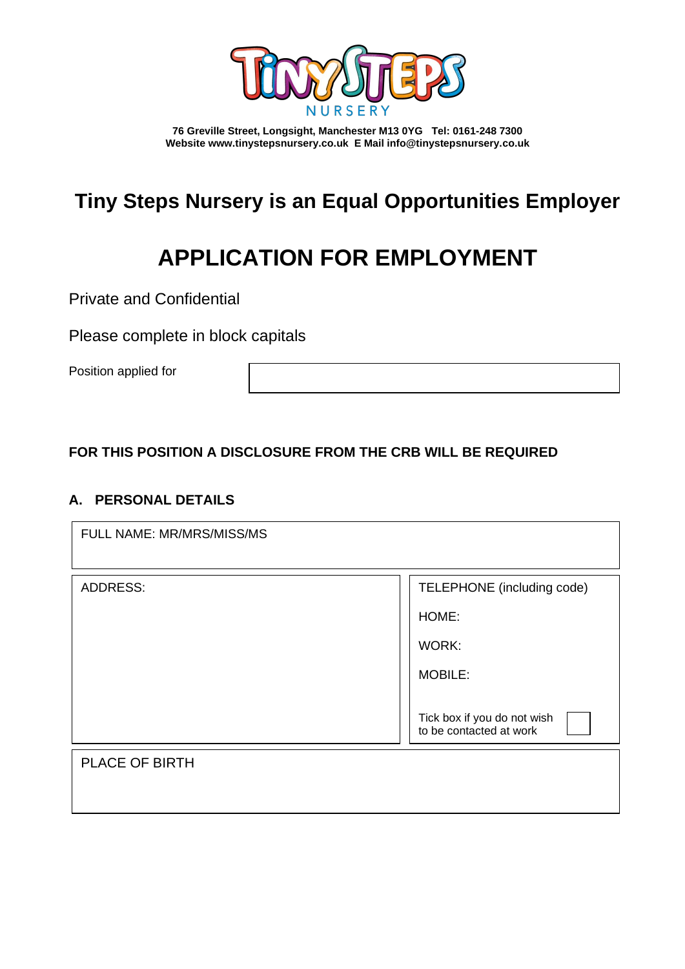

**76 Greville Street, Longsight, Manchester M13 0YG Tel: 0161-248 7300 Website www.tinystepsnursery.co.uk E Mail info@tinystepsnursery.co.uk**

# **Tiny Steps Nursery is an Equal Opportunities Employer**

# **APPLICATION FOR EMPLOYMENT**

Private and Confidential

Please complete in block capitals

Position applied for

#### **FOR THIS POSITION A DISCLOSURE FROM THE CRB WILL BE REQUIRED**

#### **A. PERSONAL DETAILS**

| FULL NAME: MR/MRS/MISS/MS |                                                        |
|---------------------------|--------------------------------------------------------|
| <b>ADDRESS:</b>           | TELEPHONE (including code)                             |
|                           | HOME:                                                  |
|                           | WORK:                                                  |
|                           | MOBILE:                                                |
|                           | Tick box if you do not wish<br>to be contacted at work |
| PLACE OF BIRTH            |                                                        |
|                           |                                                        |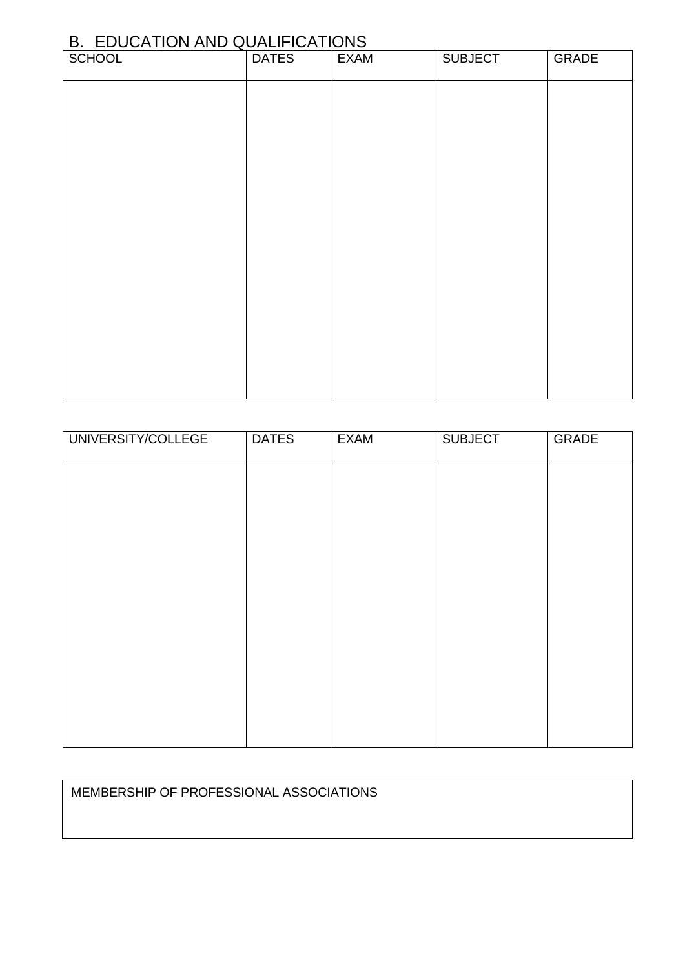# B. EDUCATION AND QUALIFICATIONS

| <b>SCHOOL</b> | <b>DATES</b> | EXAM | <b>SUBJECT</b> | <b>GRADE</b> |
|---------------|--------------|------|----------------|--------------|
|               |              |      |                |              |
|               |              |      |                |              |
|               |              |      |                |              |
|               |              |      |                |              |
|               |              |      |                |              |
|               |              |      |                |              |
|               |              |      |                |              |
|               |              |      |                |              |
|               |              |      |                |              |
|               |              |      |                |              |
|               |              |      |                |              |

| UNIVERSITY/COLLEGE | <b>DATES</b> | <b>EXAM</b> | <b>SUBJECT</b> | <b>GRADE</b> |
|--------------------|--------------|-------------|----------------|--------------|
|                    |              |             |                |              |
|                    |              |             |                |              |
|                    |              |             |                |              |
|                    |              |             |                |              |
|                    |              |             |                |              |
|                    |              |             |                |              |
|                    |              |             |                |              |
|                    |              |             |                |              |
|                    |              |             |                |              |
|                    |              |             |                |              |

| MEMBERSHIP OF PROFESSIONAL ASSOCIATIONS |  |
|-----------------------------------------|--|
|                                         |  |
|                                         |  |
|                                         |  |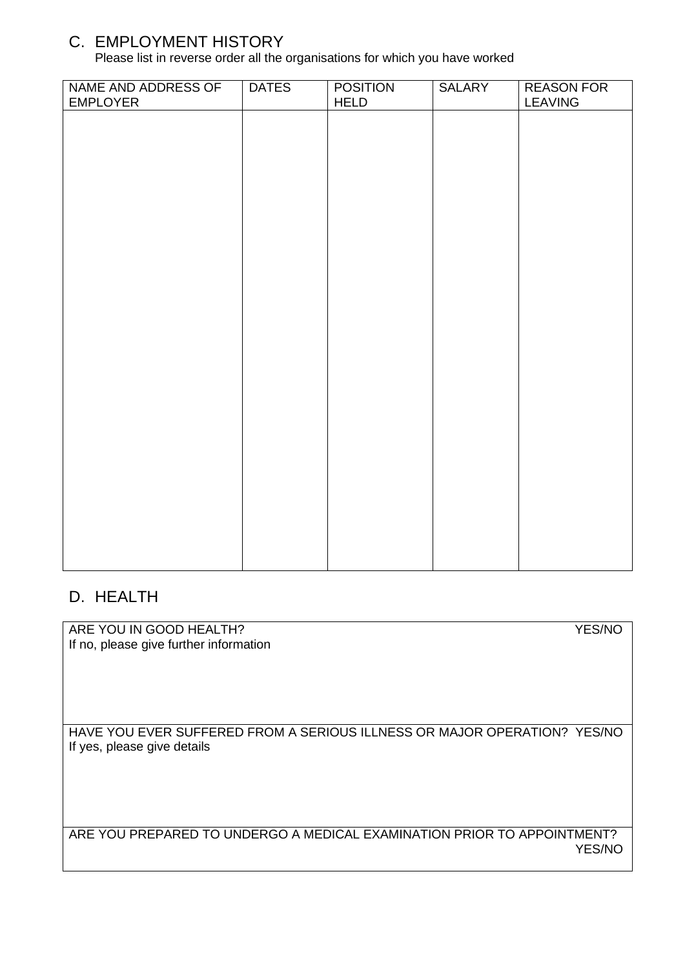## C. EMPLOYMENT HISTORY

Please list in reverse order all the organisations for which you have worked

| NAME AND ADDRESS OF<br><b>EMPLOYER</b> | <b>DATES</b> | <b>POSITION</b><br><b>HELD</b> | SALARY | <b>REASON FOR</b><br><b>LEAVING</b> |
|----------------------------------------|--------------|--------------------------------|--------|-------------------------------------|
|                                        |              |                                |        |                                     |
|                                        |              |                                |        |                                     |
|                                        |              |                                |        |                                     |
|                                        |              |                                |        |                                     |
|                                        |              |                                |        |                                     |
|                                        |              |                                |        |                                     |
|                                        |              |                                |        |                                     |
|                                        |              |                                |        |                                     |
|                                        |              |                                |        |                                     |
|                                        |              |                                |        |                                     |
|                                        |              |                                |        |                                     |
|                                        |              |                                |        |                                     |
|                                        |              |                                |        |                                     |
|                                        |              |                                |        |                                     |
|                                        |              |                                |        |                                     |
|                                        |              |                                |        |                                     |

### D. HEALTH

ARE YOU IN GOOD HEALTH? YES/NO If no, please give further information

HAVE YOU EVER SUFFERED FROM A SERIOUS ILLNESS OR MAJOR OPERATION? YES/NO If yes, please give details

ARE YOU PREPARED TO UNDERGO A MEDICAL EXAMINATION PRIOR TO APPOINTMENT? YES/NO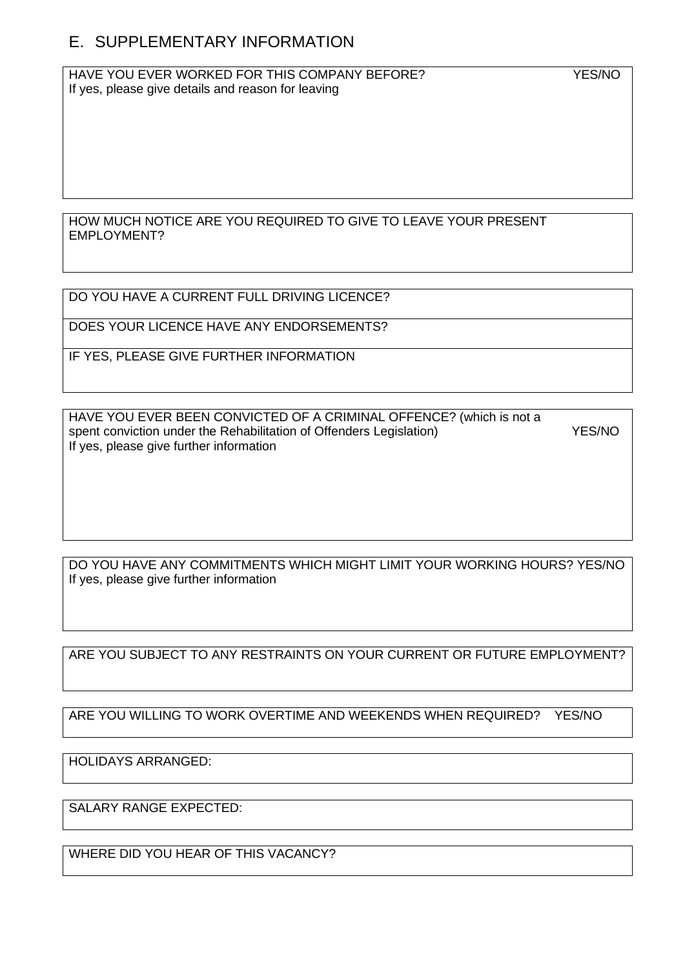## E. SUPPLEMENTARY INFORMATION

HAVE YOU EVER WORKED FOR THIS COMPANY BEFORE? YES/NO If yes, please give details and reason for leaving

HOW MUCH NOTICE ARE YOU REQUIRED TO GIVE TO LEAVE YOUR PRESENT **EMPLOYMENT?** 

DO YOU HAVE A CURRENT FULL DRIVING LICENCE?

DOES YOUR LICENCE HAVE ANY ENDORSEMENTS?

IF YES, PLEASE GIVE FURTHER INFORMATION

HAVE YOU EVER BEEN CONVICTED OF A CRIMINAL OFFENCE? (which is not a spent conviction under the Rehabilitation of Offenders Legislation) YES/NO If yes, please give further information

DO YOU HAVE ANY COMMITMENTS WHICH MIGHT LIMIT YOUR WORKING HOURS? YES/NO If yes, please give further information

ARE YOU SUBJECT TO ANY RESTRAINTS ON YOUR CURRENT OR FUTURE EMPLOYMENT?

ARE YOU WILLING TO WORK OVERTIME AND WEEKENDS WHEN REQUIRED? YES/NO

HOLIDAYS ARRANGED:

SALARY RANGE EXPECTED:

WHERE DID YOU HEAR OF THIS VACANCY?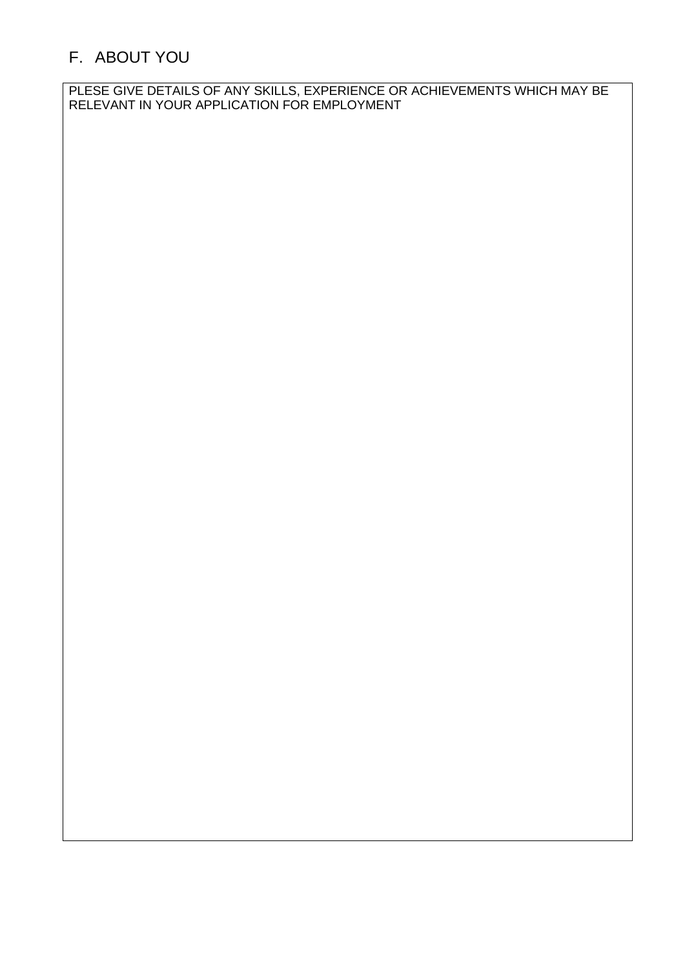# F. ABOUT YOU

PLESE GIVE DETAILS OF ANY SKILLS, EXPERIENCE OR ACHIEVEMENTS WHICH MAY BE RELEVANT IN YOUR APPLICATION FOR EMPLOYMENT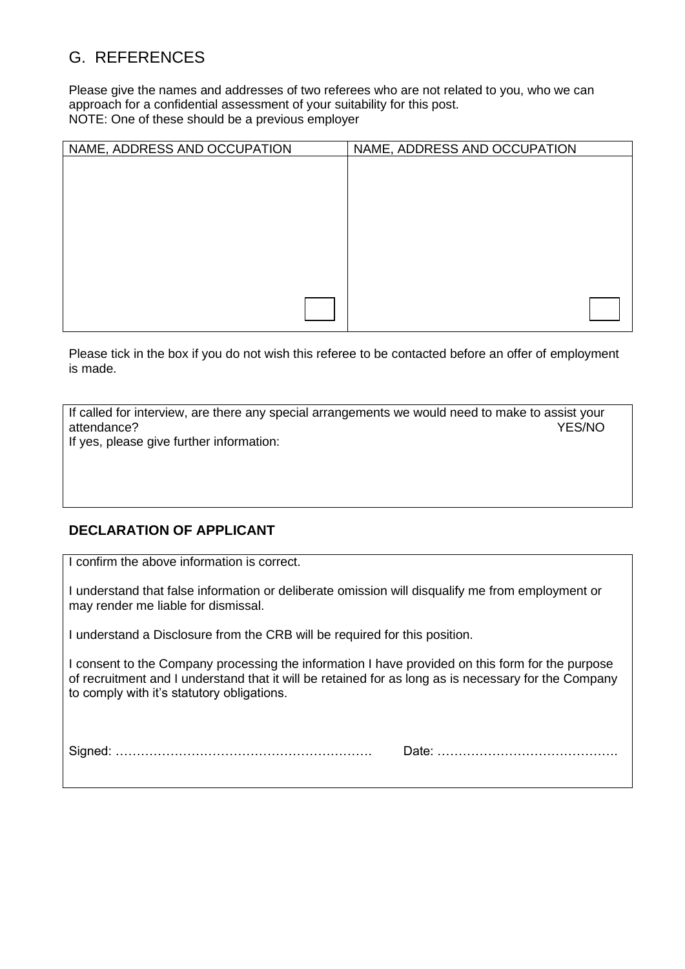## G. REFERENCES

Please give the names and addresses of two referees who are not related to you, who we can approach for a confidential assessment of your suitability for this post. NOTE: One of these should be a previous employer

| NAME, ADDRESS AND OCCUPATION | NAME, ADDRESS AND OCCUPATION |
|------------------------------|------------------------------|
|                              |                              |
|                              |                              |
|                              |                              |
|                              |                              |
|                              |                              |
|                              |                              |
|                              |                              |
|                              |                              |
|                              |                              |
|                              |                              |

Please tick in the box if you do not wish this referee to be contacted before an offer of employment is made.

If called for interview, are there any special arrangements we would need to make to assist your attendance? YES/NO

If yes, please give further information:

#### **DECLARATION OF APPLICANT**

I confirm the above information is correct.

I understand that false information or deliberate omission will disqualify me from employment or may render me liable for dismissal.

I understand a Disclosure from the CRB will be required for this position.

I consent to the Company processing the information I have provided on this form for the purpose of recruitment and I understand that it will be retained for as long as is necessary for the Company to comply with it's statutory obligations.

Signed: ……………………………………………………. Date: …………………………………….